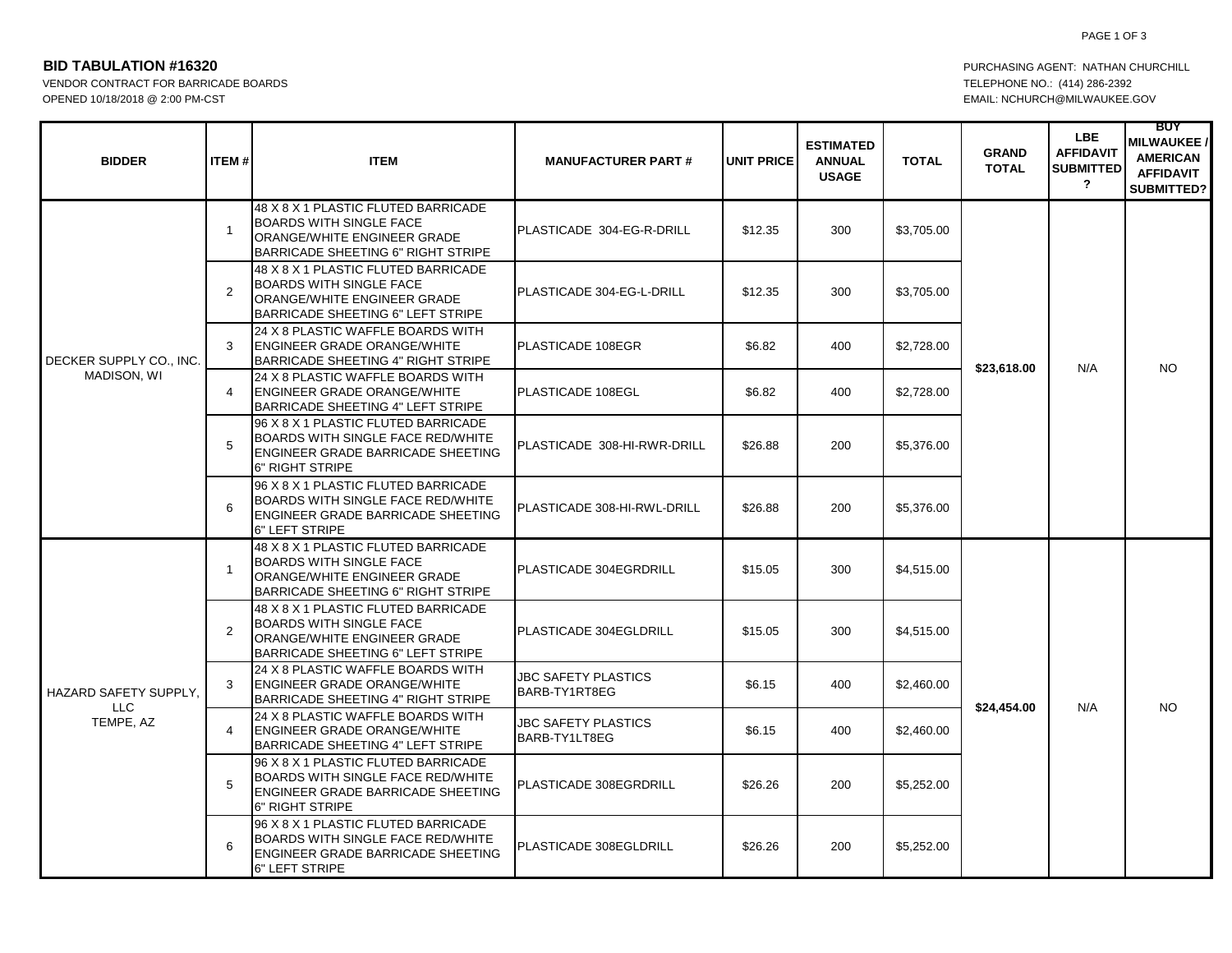PAGE 1 OF 3

## **BID TABULATION #16320 PURCHASING AGENT: NATHAN CHURCHILL**

VENDOR CONTRACT FOR BARRICADE BOARDS TELEPHONE NO.: (414) 286-2392 OPENED 10/18/2018 @ 2:00 PM-CST EMAIL: NCHURCH@MILWAUKEE.GOV

| <b>BIDDER</b>                                    | <b>ITEM#</b>   | <b>ITEM</b>                                                                                                                                       | <b>MANUFACTURER PART#</b>                   | <b>UNIT PRICE</b> | <b>ESTIMATED</b><br><b>ANNUAL</b><br><b>USAGE</b> | <b>TOTAL</b> | <b>GRAND</b><br><b>TOTAL</b> | LBE.<br><b>AFFIDAVIT</b><br><b>SUBMITTED</b><br>$\overline{\mathbf{?}}$ | <b>BUY</b><br><b>MILWAUKEE /</b><br><b>AMERICAN</b><br><b>AFFIDAVIT</b><br><b>SUBMITTED?</b> |
|--------------------------------------------------|----------------|---------------------------------------------------------------------------------------------------------------------------------------------------|---------------------------------------------|-------------------|---------------------------------------------------|--------------|------------------------------|-------------------------------------------------------------------------|----------------------------------------------------------------------------------------------|
| DECKER SUPPLY CO., INC.<br>MADISON, WI           | $\overline{1}$ | 48 X 8 X 1 PLASTIC FLUTED BARRICADE<br><b>BOARDS WITH SINGLE FACE</b><br>ORANGE/WHITE ENGINEER GRADE<br><b>BARRICADE SHEETING 6" RIGHT STRIPE</b> | PLASTICADE 304-EG-R-DRILL                   | \$12.35           | 300                                               | \$3,705.00   | \$23,618.00                  | N/A                                                                     | NO.                                                                                          |
|                                                  | $\overline{2}$ | 48 X 8 X 1 PLASTIC FLUTED BARRICADE<br><b>BOARDS WITH SINGLE FACE</b><br>ORANGE/WHITE ENGINEER GRADE<br>BARRICADE SHEETING 6" LEFT STRIPE         | PLASTICADE 304-EG-L-DRILL                   | \$12.35           | 300                                               | \$3,705.00   |                              |                                                                         |                                                                                              |
|                                                  | 3              | 24 X 8 PLASTIC WAFFLE BOARDS WITH<br><b>ENGINEER GRADE ORANGE/WHITE</b><br>BARRICADE SHEETING 4" RIGHT STRIPE                                     | PLASTICADE 108EGR                           | \$6.82            | 400                                               | \$2,728.00   |                              |                                                                         |                                                                                              |
|                                                  | $\overline{4}$ | 24 X 8 PLASTIC WAFFLE BOARDS WITH<br><b>ENGINEER GRADE ORANGE/WHITE</b><br>BARRICADE SHEETING 4" LEFT STRIPE                                      | PLASTICADE 108EGL                           | \$6.82            | 400                                               | \$2,728.00   |                              |                                                                         |                                                                                              |
|                                                  | 5              | 96 X 8 X 1 PLASTIC FLUTED BARRICADE<br>BOARDS WITH SINGLE FACE RED/WHITE<br>ENGINEER GRADE BARRICADE SHEETING<br>6" RIGHT STRIPE                  | PLASTICADE 308-HI-RWR-DRILL                 | \$26.88           | 200                                               | \$5,376.00   |                              |                                                                         |                                                                                              |
|                                                  | 6              | 96 X 8 X 1 PLASTIC FLUTED BARRICADE<br><b>BOARDS WITH SINGLE FACE RED/WHITE</b><br>ENGINEER GRADE BARRICADE SHEETING<br>6" LEFT STRIPE            | PLASTICADE 308-HI-RWL-DRILL                 | \$26.88           | 200                                               | \$5,376.00   |                              |                                                                         |                                                                                              |
| <b>HAZARD SAFETY SUPPLY.</b><br>LLC<br>TEMPE, AZ | $\overline{1}$ | 48 X 8 X 1 PLASTIC FLUTED BARRICADE<br><b>BOARDS WITH SINGLE FACE</b><br>ORANGE/WHITE ENGINEER GRADE<br><b>BARRICADE SHEETING 6" RIGHT STRIPE</b> | PLASTICADE 304EGRDRILL                      | \$15.05           | 300                                               | \$4,515.00   | \$24,454.00                  | N/A                                                                     | NO.                                                                                          |
|                                                  | 2              | 48 X 8 X 1 PLASTIC FLUTED BARRICADE<br><b>BOARDS WITH SINGLE FACE</b><br>ORANGE/WHITE ENGINEER GRADE<br><b>BARRICADE SHEETING 6" LEFT STRIPE</b>  | PLASTICADE 304EGLDRILL                      | \$15.05           | 300                                               | \$4,515.00   |                              |                                                                         |                                                                                              |
|                                                  | 3              | 24 X 8 PLASTIC WAFFLE BOARDS WITH<br><b>ENGINEER GRADE ORANGE/WHITE</b><br>BARRICADE SHEETING 4" RIGHT STRIPE                                     | <b>JBC SAFETY PLASTICS</b><br>BARB-TY1RT8EG | \$6.15            | 400                                               | \$2,460.00   |                              |                                                                         |                                                                                              |
|                                                  | 4              | 24 X 8 PLASTIC WAFFLE BOARDS WITH<br><b>ENGINEER GRADE ORANGE/WHITE</b><br><b>BARRICADE SHEETING 4" LEFT STRIPE</b>                               | JBC SAFETY PLASTICS<br>BARB-TY1LT8EG        | \$6.15            | 400                                               | \$2,460.00   |                              |                                                                         |                                                                                              |
|                                                  | 5              | 96 X 8 X 1 PLASTIC FLUTED BARRICADE<br><b>BOARDS WITH SINGLE FACE RED/WHITE</b><br>ENGINEER GRADE BARRICADE SHEETING<br>6" RIGHT STRIPE           | PLASTICADE 308EGRDRILL                      | \$26.26           | 200                                               | \$5,252.00   |                              |                                                                         |                                                                                              |
|                                                  | 6              | 96 X 8 X 1 PLASTIC FLUTED BARRICADE<br><b>BOARDS WITH SINGLE FACE RED/WHITE</b><br>ENGINEER GRADE BARRICADE SHEETING<br>6" LEFT STRIPE            | PLASTICADE 308EGLDRILL                      | \$26.26           | 200                                               | \$5,252.00   |                              |                                                                         |                                                                                              |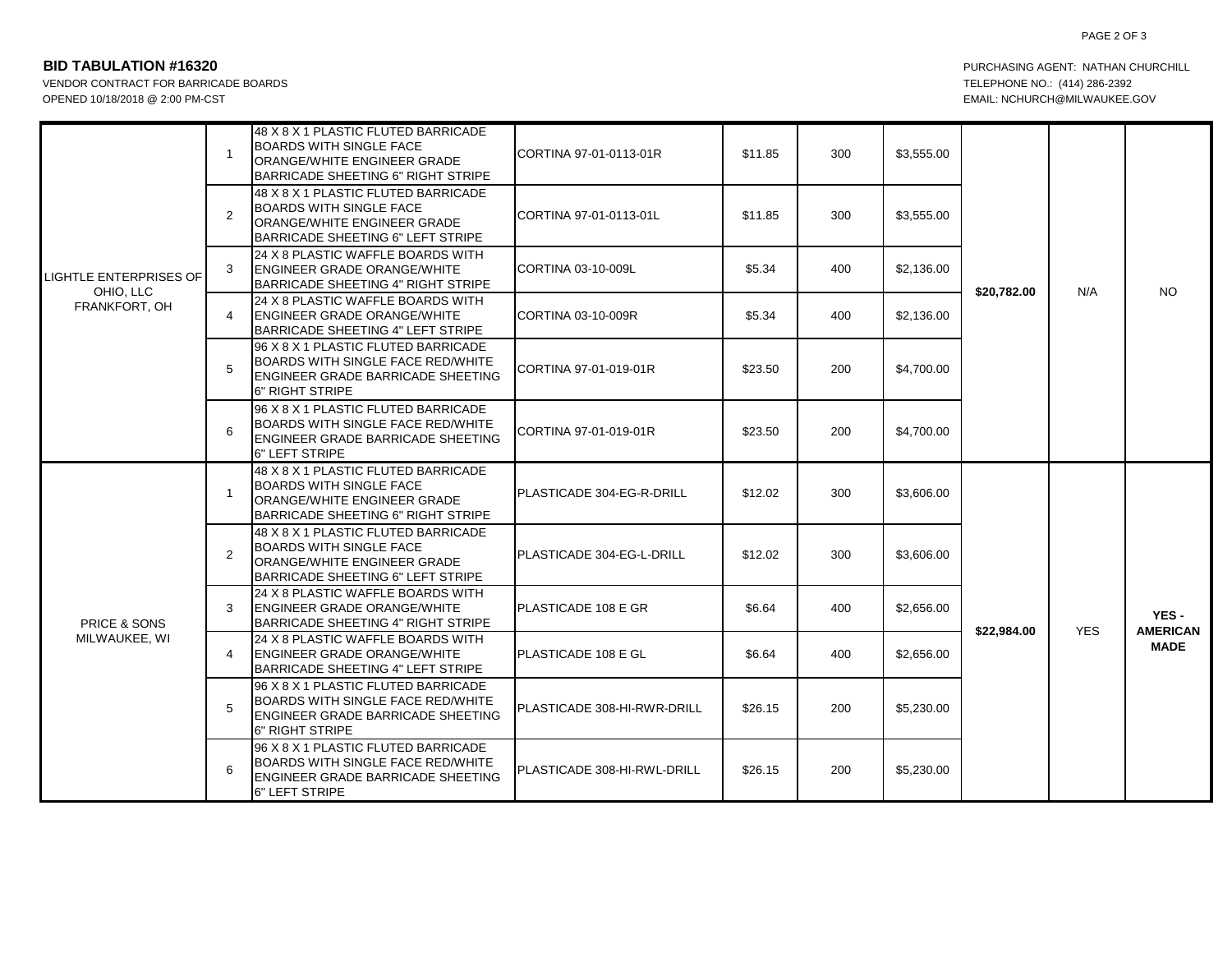## PAGE 2 OF 3

## **BID TABULATION #16320 PURCHASING AGENT: NATHAN CHURCHILL**

VENDOR CONTRACT FOR BARRICADE BOARDS TELEPHONE NO.: (414) 286-2392 OPENED 10/18/2018 @ 2:00 PM-CST EMAIL: NOT CONTROLLY AUKEE.GOV

| <b>LIGHTLE ENTERPRISES OF</b><br>OHIO, LLC<br>FRANKFORT, OH | $\mathbf{1}$   | 48 X 8 X 1 PLASTIC FLUTED BARRICADE<br><b>BOARDS WITH SINGLE FACE</b><br>ORANGE/WHITE ENGINEER GRADE<br><b>BARRICADE SHEETING 6" RIGHT STRIPE</b>       | CORTINA 97-01-0113-01R      | \$11.85 | 300 | \$3,555.00 | \$20,782.00 | N/A        | <b>NO</b>                              |
|-------------------------------------------------------------|----------------|---------------------------------------------------------------------------------------------------------------------------------------------------------|-----------------------------|---------|-----|------------|-------------|------------|----------------------------------------|
|                                                             | 2              | 48 X 8 X 1 PLASTIC FLUTED BARRICADE<br><b>BOARDS WITH SINGLE FACE</b><br>ORANGE/WHITE ENGINEER GRADE<br>BARRICADE SHEETING 6" LEFT STRIPE               | CORTINA 97-01-0113-01L      | \$11.85 | 300 | \$3,555.00 |             |            |                                        |
|                                                             | 3              | 24 X 8 PLASTIC WAFFLE BOARDS WITH<br><b>IENGINEER GRADE ORANGE/WHITE</b><br>BARRICADE SHEETING 4" RIGHT STRIPE                                          | CORTINA 03-10-009L          | \$5.34  | 400 | \$2,136.00 |             |            |                                        |
|                                                             | 4              | 24 X 8 PLASTIC WAFFLE BOARDS WITH<br><b>ENGINEER GRADE ORANGE/WHITE</b><br>BARRICADE SHEETING 4" LEFT STRIPE                                            | CORTINA 03-10-009R          | \$5.34  | 400 | \$2,136.00 |             |            |                                        |
|                                                             | 5              | 96 X 8 X 1 PLASTIC FLUTED BARRICADE<br><b>BOARDS WITH SINGLE FACE RED/WHITE</b><br><b>ENGINEER GRADE BARRICADE SHEETING</b><br>6" RIGHT STRIPE          | CORTINA 97-01-019-01R       | \$23.50 | 200 | \$4,700.00 |             |            |                                        |
|                                                             | 6              | 96 X 8 X 1 PLASTIC FLUTED BARRICADE<br><b>BOARDS WITH SINGLE FACE RED/WHITE</b><br><b>ENGINEER GRADE BARRICADE SHEETING</b><br>6" LEFT STRIPE           | CORTINA 97-01-019-01R       | \$23.50 | 200 | \$4,700.00 |             |            |                                        |
| <b>PRICE &amp; SONS</b><br>MILWAUKEE, WI                    | $\mathbf{1}$   | 48 X 8 X 1 PLASTIC FLUTED BARRICADE<br><b>BOARDS WITH SINGLE FACE</b><br>ORANGE/WHITE ENGINEER GRADE<br>BARRICADE SHEETING 6" RIGHT STRIPE              | PLASTICADE 304-EG-R-DRILL   | \$12.02 | 300 | \$3,606.00 | \$22,984.00 |            | YES-<br><b>AMERICAN</b><br><b>MADE</b> |
|                                                             | $\overline{2}$ | 48 X 8 X 1 PLASTIC FLUTED BARRICADE<br><b>BOARDS WITH SINGLE FACE</b><br><b>ORANGE/WHITE ENGINEER GRADE</b><br><b>BARRICADE SHEETING 6" LEFT STRIPE</b> | PLASTICADE 304-EG-L-DRILL   | \$12.02 | 300 | \$3,606.00 |             | <b>YES</b> |                                        |
|                                                             | 3              | 24 X 8 PLASTIC WAFFLE BOARDS WITH<br><b>ENGINEER GRADE ORANGE/WHITE</b><br><b>BARRICADE SHEETING 4" RIGHT STRIPE</b>                                    | PLASTICADE 108 E GR         | \$6.64  | 400 | \$2,656.00 |             |            |                                        |
|                                                             | 4              | 24 X 8 PLASTIC WAFFLE BOARDS WITH<br><b>ENGINEER GRADE ORANGE/WHITE</b><br>BARRICADE SHEETING 4" LEFT STRIPE                                            | IPLASTICADE 108 E GL        | \$6.64  | 400 | \$2,656.00 |             |            |                                        |
|                                                             | 5              | 96 X 8 X 1 PLASTIC FLUTED BARRICADE<br>BOARDS WITH SINGLE FACE RED/WHITE<br><b>ENGINEER GRADE BARRICADE SHEETING</b><br>6" RIGHT STRIPE                 | PLASTICADE 308-HI-RWR-DRILL | \$26.15 | 200 | \$5,230.00 |             |            |                                        |
|                                                             | 6              | 96 X 8 X 1 PLASTIC FLUTED BARRICADE<br><b>BOARDS WITH SINGLE FACE RED/WHITE</b><br><b>ENGINEER GRADE BARRICADE SHEETING</b><br>6" LEFT STRIPE           | PLASTICADE 308-HI-RWL-DRILL | \$26.15 | 200 | \$5,230.00 |             |            |                                        |